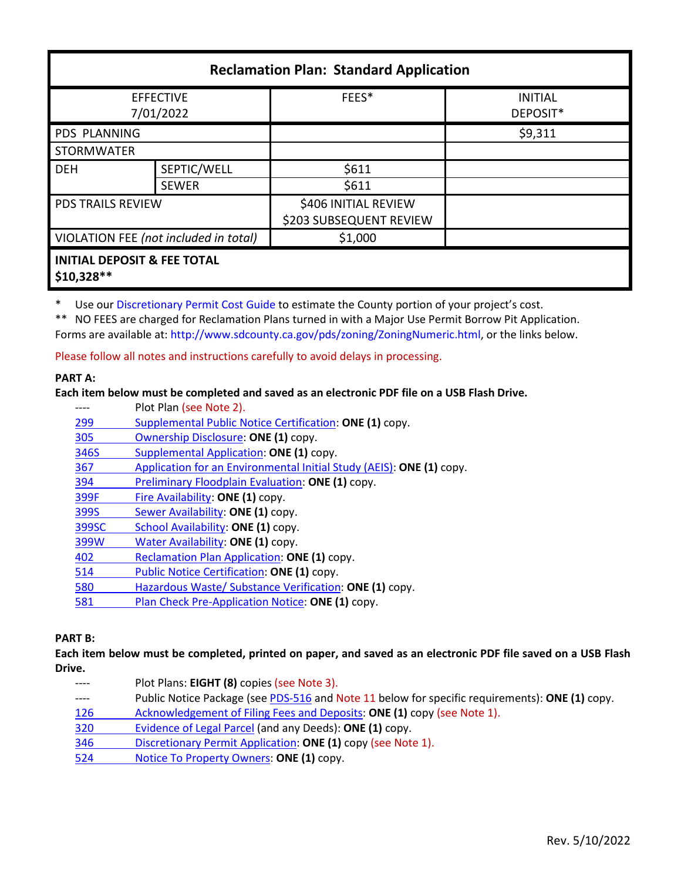| <b>Reclamation Plan: Standard Application</b>         |              |                                                 |                            |  |
|-------------------------------------------------------|--------------|-------------------------------------------------|----------------------------|--|
| <b>EFFECTIVE</b><br>7/01/2022                         |              | FEES*                                           | <b>INITIAL</b><br>DEPOSIT* |  |
| PDS PLANNING                                          |              |                                                 | \$9,311                    |  |
| <b>STORMWATER</b>                                     |              |                                                 |                            |  |
| <b>DEH</b>                                            | SEPTIC/WELL  | \$611                                           |                            |  |
|                                                       | <b>SEWER</b> | \$611                                           |                            |  |
| <b>PDS TRAILS REVIEW</b>                              |              | \$406 INITIAL REVIEW<br>\$203 SUBSEQUENT REVIEW |                            |  |
| VIOLATION FEE (not included in total)                 |              | \$1,000                                         |                            |  |
| <b>INITIAL DEPOSIT &amp; FEE TOTAL</b><br>$$10,328**$ |              |                                                 |                            |  |

\* Use ou[r Discretionary Permit Cost Guide](http://www.sandiegocounty.gov/content/dam/sdc/pds/docs/Discretionary_Permit_Cost_Guide.xlsx) to estimate the County portion of your project's cost.

\*\* NO FEES are charged for Reclamation Plans turned in with a Major Use Permit Borrow Pit Application. Forms are available at: [http://www.sdcounty.ca.gov/pds/zoning/ZoningNumeric.html,](http://www.sdcounty.ca.gov/pds/zoning/ZoningNumeric.html) or the links below.

Please follow all notes and instructions carefully to avoid delays in processing.

## **PART A:**

## **Each item below must be completed and saved as an electronic PDF file on a USB Flash Drive.**

|       | Plot Plan (see Note 2).                                              |
|-------|----------------------------------------------------------------------|
| 299   | Supplemental Public Notice Certification: ONE (1) copy.              |
| 305   | Ownership Disclosure: ONE (1) copy.                                  |
| 346S  | Supplemental Application: ONE (1) copy.                              |
| 367   | Application for an Environmental Initial Study (AEIS): ONE (1) copy. |
| 394   | Preliminary Floodplain Evaluation: ONE (1) copy.                     |
| 399F  | Fire Availability: ONE (1) copy.                                     |
| 399S  | Sewer Availability: ONE (1) copy.                                    |
| 399SC | School Availability: ONE (1) copy.                                   |
| 399W  | Water Availability: ONE (1) copy.                                    |
| 402   | Reclamation Plan Application: ONE (1) copy.                          |
| 514   | Public Notice Certification: ONE (1) copy.                           |
| 580   | Hazardous Waste/ Substance Verification: ONE (1) copy.               |
| 581   | Plan Check Pre-Application Notice: ONE (1) copy.                     |

# **PART B:**

**Each item below must be completed, printed on paper, and saved as an electronic PDF file saved on a USB Flash Drive.**

---- Plot Plans: **EIGHT (8)** copies (see Note 3). ---- Public Notice Package (se[e PDS-516 a](https://www.sandiegocounty.gov/pds/zoning/formfields/PDS-PLN-516.pdf)nd Note 11 below for specific requirements): **ONE (1)** copy. [126 Acknowledgement of Filing Fees and Deposits:](http://www.sdcounty.ca.gov/pds/zoning/formfields/PDS-PLN-126.pdf) **ONE (1)** copy (see Note 1). [320 Evidence of Legal Parcel](http://www.sdcounty.ca.gov/pds/zoning/formfields/PDS-PLN-320.pdf) (and any Deeds): **ONE (1)** copy. 346 [Discretionary Permit Application:](http://www.sdcounty.ca.gov/pds/zoning/formfields/PDS-PLN-346.pdf) **ONE (1)** copy (see Note 1). 524 [Notice To Property Owners:](http://www.sdcounty.ca.gov/pds/zoning/formfields/PDS-PLN-524.pdf) **ONE (1)** copy.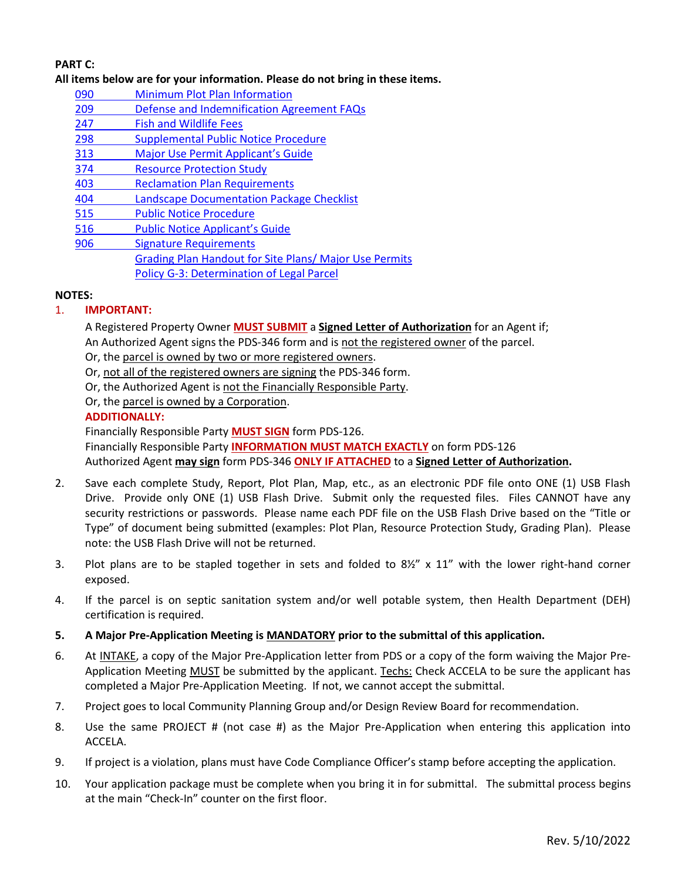# **PART C:**

## **All items below are for your information. Please do not bring in these items.**

- 090 [Minimum Plot Plan Information](http://www.sdcounty.ca.gov/pds/docs/pds090.pdf)
- [209 Defense and Indemnification Agreement FAQs](http://www.sdcounty.ca.gov/pds/zoning/formfields/PDS-PLN-209.pdf)
- [247 Fish and Wildlife Fees](http://www.sdcounty.ca.gov/pds/zoning/formfields/PDS-PLN-247.pdf)
- [298 Supplemental Public Notice Procedure](http://www.sdcounty.ca.gov/pds/zoning/formfields/PDS-PLN-298.pdf)
- 313 [Major Use Permit Applicant's Guide](http://www.sdcounty.ca.gov/pds/zoning/formfields/PDS-PLN-313.pdf)
- [374 Resource Protection Study](http://www.sdcounty.ca.gov/pds/zoning/formfields/PDS-PLN-374.pdf)
- 403 [Reclamation Plan Requirements](http://www.sdcounty.ca.gov/pds/zoning/formfields/PDS-PLN-403.pdf)
- [404 Landscape Documentation Package Checklist](http://www.sdcounty.ca.gov/pds/zoning/formfields/PDS-PLN-404.pdf)
- [515 Public Notice Procedure](http://www.sdcounty.ca.gov/pds/zoning/formfields/PDS-PLN-515.pdf)
- [516 Public Notice Applicant's Guide](http://www.sdcounty.ca.gov/pds/zoning/formfields/PDS-PLN-516.pdf)
- [906 Signature Requirements](http://www.sdcounty.ca.gov/pds/zoning/formfields/PDS-PLN-906.pdf)  [Grading Plan Handout for Site Plans/ Major Use Permits](http://www.sdcounty.ca.gov/pds/zoning/formfields/GradePlanHandoutSitePlanMUP.pdf) [Policy G-3: Determination of Legal Parcel](http://www.sdcounty.ca.gov/pds/zoning/formfields/POLICY-G-3.pdf)

#### **NOTES:**

## 1. **IMPORTANT:**

A Registered Property Owner **MUST SUBMIT** a **Signed Letter of Authorization** for an Agent if; An Authorized Agent signs the PDS-346 form and is not the registered owner of the parcel.

Or, the parcel is owned by two or more registered owners.

Or, not all of the registered owners are signing the PDS-346 form.

Or, the Authorized Agent is not the Financially Responsible Party.

Or, the parcel is owned by a Corporation.

#### **ADDITIONALLY:**

Financially Responsible Party **MUST SIGN** form PDS-126. Financially Responsible Party **INFORMATION MUST MATCH EXACTLY** on form PDS-126 Authorized Agent **may sign** form PDS-346 **ONLY IF ATTACHED** to a **Signed Letter of Authorization.** 

- 2. Save each complete Study, Report, Plot Plan, Map, etc., as an electronic PDF file onto ONE (1) USB Flash Drive. Provide only ONE (1) USB Flash Drive. Submit only the requested files. Files CANNOT have any security restrictions or passwords. Please name each PDF file on the USB Flash Drive based on the "Title or Type" of document being submitted (examples: Plot Plan, Resource Protection Study, Grading Plan). Please note: the USB Flash Drive will not be returned.
- 3. Plot plans are to be stapled together in sets and folded to  $8\frac{y}{x} \times 11$ " with the lower right-hand corner exposed.
- 4. If the parcel is on septic sanitation system and/or well potable system, then Health Department (DEH) certification is required.
- **5. A Major Pre-Application Meeting is MANDATORY prior to the submittal of this application.**
- 6. At INTAKE, a copy of the Major Pre-Application letter from PDS or a copy of the form waiving the Major Pre-Application Meeting MUST be submitted by the applicant. Techs: Check ACCELA to be sure the applicant has completed a Major Pre-Application Meeting. If not, we cannot accept the submittal.
- 7. Project goes to local Community Planning Group and/or Design Review Board for recommendation.
- 8. Use the same PROJECT # (not case #) as the Major Pre-Application when entering this application into ACCELA.
- 9. If project is a violation, plans must have Code Compliance Officer's stamp before accepting the application.
- 10. Your application package must be complete when you bring it in for submittal. The submittal process begins at the main "Check-In" counter on the first floor.